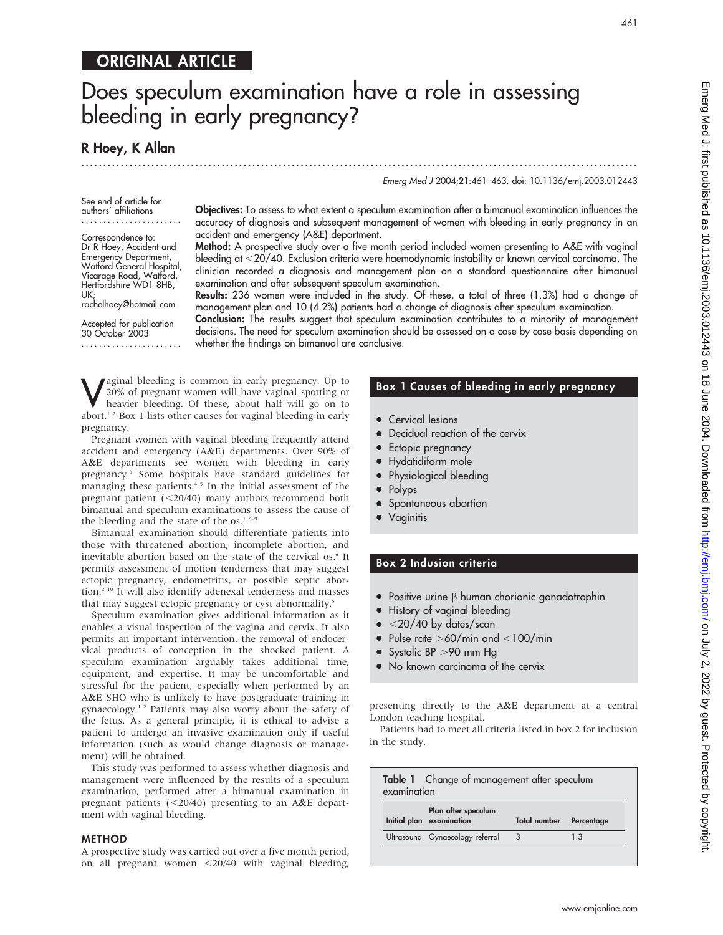# ORIGINAL ARTICLE

# Does speculum examination have a role in assessing bleeding in early pregnancy?

...............................................................................................................................

## R Hoey, K Allan

Emerg Med J 2004;21:461–463. doi: 10.1136/emj.2003.012443

See end of article for authors' affiliations

.......................

Correspondence to: Dr R Hoey, Accident and Emergency Department, Watford General Hospital, Vicarage Road, Watford, Hertfordshire WD1 8HB, UK; rachelhoey@hotmail.com

Accepted for publication 30 October 2003

.......................

Objectives: To assess to what extent a speculum examination after a bimanual examination influences the accuracy of diagnosis and subsequent management of women with bleeding in early pregnancy in an accident and emergency (A&E) department.

Method: A prospective study over a five month period included women presenting to A&E with vaginal bleeding at <20/40. Exclusion criteria were haemodynamic instability or known cervical carcinoma. The clinician recorded a diagnosis and management plan on a standard questionnaire after bimanual examination and after subsequent speculum examination.

Results: 236 women were included in the study. Of these, a total of three (1.3%) had a change of management plan and 10 (4.2%) patients had a change of diagnosis after speculum examination.

Conclusion: The results suggest that speculum examination contributes to a minority of management decisions. The need for speculum examination should be assessed on a case by case basis depending on whether the findings on bimanual are conclusive.

 $\bigvee$  aginal bleeding is common in early pregnancy. Up to 20% of pregnant women will have vaginal spotting or heavier bleeding. Of these, about half will go on to about  $\frac{1}{2}$  Box 1 lists other cause for vaginal bleed 20% of pregnant women will have vaginal spotting or abort.<sup>1</sup> <sup>2</sup> Box 1 lists other causes for vaginal bleeding in early pregnancy.

Pregnant women with vaginal bleeding frequently attend accident and emergency (A&E) departments. Over 90% of A&E departments see women with bleeding in early pregnancy.3 Some hospitals have standard guidelines for managing these patients.<sup>45</sup> In the initial assessment of the pregnant patient  $( $20/40$ )$  many authors recommend both bimanual and speculum examinations to assess the cause of the bleeding and the state of the os. $16-9$ 

Bimanual examination should differentiate patients into those with threatened abortion, incomplete abortion, and inevitable abortion based on the state of the cervical os.<sup>6</sup> It permits assessment of motion tenderness that may suggest ectopic pregnancy, endometritis, or possible septic abortion.<sup>2 10</sup> It will also identify adenexal tenderness and masses that may suggest ectopic pregnancy or cyst abnormality.<sup>5</sup>

Speculum examination gives additional information as it enables a visual inspection of the vagina and cervix. It also permits an important intervention, the removal of endocervical products of conception in the shocked patient. A speculum examination arguably takes additional time, equipment, and expertise. It may be uncomfortable and stressful for the patient, especially when performed by an A&E SHO who is unlikely to have postgraduate training in gynaecology.4 5 Patients may also worry about the safety of the fetus. As a general principle, it is ethical to advise a patient to undergo an invasive examination only if useful information (such as would change diagnosis or management) will be obtained.

This study was performed to assess whether diagnosis and management were influenced by the results of a speculum examination, performed after a bimanual examination in pregnant patients  $(<20/40)$  presenting to an A&E department with vaginal bleeding.

#### METHOD

A prospective study was carried out over a five month period, on all pregnant women  $\langle 20/40 \rangle$  with vaginal bleeding,

# Box 1 Causes of bleeding in early pregnancy

- Cervical lesions
- Decidual reaction of the cervix
- Ectopic pregnancy
- Hydatidiform mole
- Physiological bleeding
- Polyps
- Spontaneous abortion
- Vaginitis

### Box 2 Indusion criteria

- $\bullet$  Positive urine  $\beta$  human chorionic gonadotrophin
- History of vaginal bleeding
- $\bullet$  <20/40 by dates/scan
- Pulse rate  $>60/min$  and  $<100/min$
- $\bullet$  Systolic BP  $>$ 90 mm Hg
- No known carcinoma of the cervix

presenting directly to the A&E department at a central London teaching hospital.

Patients had to meet all criteria listed in box 2 for inclusion in the study.

| examination | Table 1 Change of management after speculum     |              |            |
|-------------|-------------------------------------------------|--------------|------------|
|             | Plan after speculum<br>Initial plan examination | Total number | Percentage |
|             | Ultrasound Gynaecology referral                 |              | 13         |
|             |                                                 |              |            |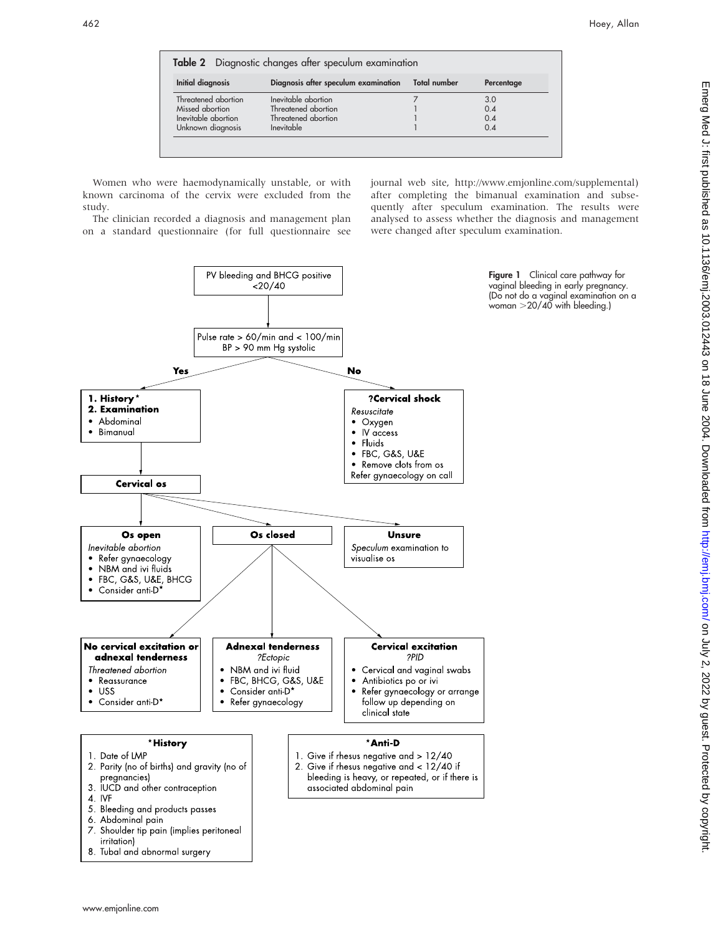| Initial diagnosis   | Diagnosis after speculum examination | Total number | Percentage |
|---------------------|--------------------------------------|--------------|------------|
| Threatened abortion | Inevitable abortion                  |              | 3.0        |
| Missed abortion     | Threatened abortion                  |              | 0.4        |
| Inevitable abortion | Threatened abortion                  |              | 0.4        |
| Unknown diagnosis   | Inevitable                           |              | $0\Delta$  |

Women who were haemodynamically unstable, or with known carcinoma of the cervix were excluded from the study.

The clinician recorded a diagnosis and management plan on a standard questionnaire (for full questionnaire see journal web site, http://www.emjonline.com/supplemental) after completing the bimanual examination and subsequently after speculum examination. The results were analysed to assess whether the diagnosis and management were changed after speculum examination.



- 4. IVF
- 5. Bleeding and products passes
- 6. Abdominal pain
- Shoulder tip pain (implies peritoneal  $7<sub>1</sub>$ irritation)
- 8. Tubal and abnormal surgery